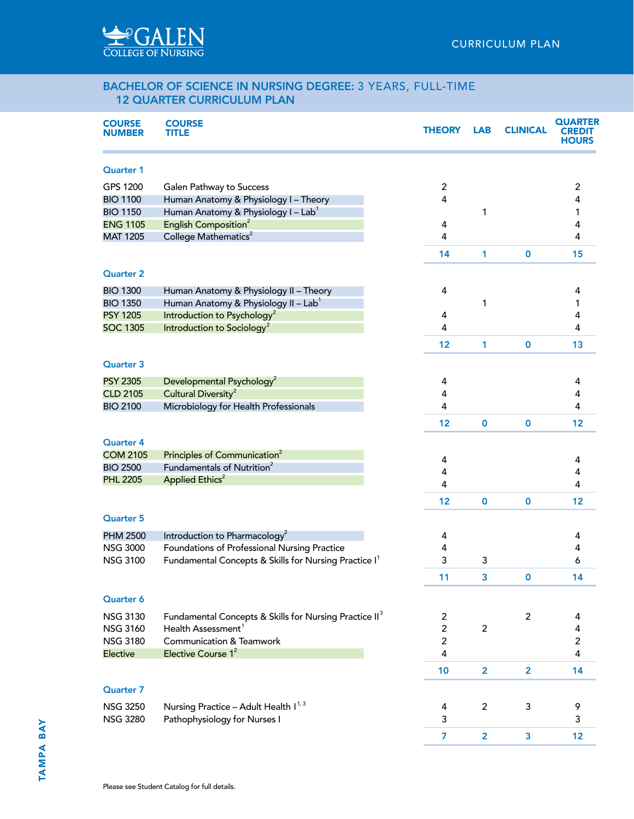## BACHELOR OF SCIENCE IN NURSING DEGREE: 3 YEARS, FULL-TIME 12 QUARTER CURRICULUM PLAN

| <b>COURSE</b><br><b>NUMBER</b> | <b>COURSE</b><br>TITLE                                             | <b>THEORY</b>  | <b>LAB</b>              | <b>CLINICAL</b> | <b>QUARTER</b><br><b>HOURS</b> |
|--------------------------------|--------------------------------------------------------------------|----------------|-------------------------|-----------------|--------------------------------|
| <b>Quarter 1</b>               |                                                                    |                |                         |                 |                                |
| GPS 1200                       | Galen Pathway to Success                                           | $\overline{c}$ |                         |                 | $\overline{c}$                 |
| <b>BIO 1100</b>                | Human Anatomy & Physiology I - Theory                              | 4              |                         |                 | 4                              |
| <b>BIO 1150</b>                | Human Anatomy & Physiology I - Lab <sup>1</sup>                    |                | 1                       |                 | 1                              |
| <b>ENG 1105</b>                | English Composition <sup>2</sup>                                   | 4              |                         |                 | 4                              |
| <b>MAT 1205</b>                | College Mathematics <sup>2</sup>                                   | 4              |                         |                 | 4                              |
|                                |                                                                    | 14             | 1                       | $\mathbf 0$     | 15                             |
| <b>Quarter 2</b>               |                                                                    |                |                         |                 |                                |
| <b>BIO 1300</b>                | Human Anatomy & Physiology II - Theory                             | 4              |                         |                 | 4                              |
| <b>BIO 1350</b>                | Human Anatomy & Physiology II - Lab <sup>1</sup>                   |                | 1                       |                 | 1                              |
| <b>PSY 1205</b>                | Introduction to Psychology <sup>2</sup>                            | 4              |                         |                 | 4                              |
| <b>SOC 1305</b>                | Introduction to Sociology <sup>2</sup>                             | 4              |                         |                 | 4                              |
|                                |                                                                    | 12             | 1                       | $\mathbf 0$     | 13                             |
| <b>Quarter 3</b>               |                                                                    |                |                         |                 |                                |
| <b>PSY 2305</b>                | Developmental Psychology <sup>2</sup>                              | 4              |                         |                 | 4                              |
| <b>CLD 2105</b>                | Cultural Diversity <sup>2</sup>                                    | 4              |                         |                 | 4                              |
| <b>BIO 2100</b>                | Microbiology for Health Professionals                              | 4              |                         |                 | 4                              |
|                                |                                                                    | 12             | 0                       | $\mathbf 0$     | 12                             |
| <b>Quarter 4</b>               |                                                                    |                |                         |                 |                                |
| <b>COM 2105</b>                | Principles of Communication <sup>2</sup>                           | 4              |                         |                 | 4                              |
| <b>BIO 2500</b>                | Fundamentals of Nutrition <sup>2</sup>                             | 4              |                         |                 | 4                              |
| <b>PHL 2205</b>                | Applied Ethics <sup>2</sup>                                        | 4              |                         |                 | 4                              |
|                                |                                                                    | 12             | $\mathbf 0$             | $\mathbf 0$     | 12                             |
| <b>Quarter 5</b>               |                                                                    |                |                         |                 |                                |
| <b>PHM 2500</b>                | Introduction to Pharmacology <sup>2</sup>                          | 4              |                         |                 | 4                              |
| <b>NSG 3000</b>                | Foundations of Professional Nursing Practice                       | 4              |                         |                 | 4                              |
| <b>NSG 3100</b>                | Fundamental Concepts & Skills for Nursing Practice I <sup>1</sup>  | 3              | 3                       |                 | 6                              |
|                                |                                                                    | 11             | 3                       | 0               | 14                             |
| Quarter 6                      |                                                                    |                |                         |                 |                                |
| <b>NSG 3130</b>                | Fundamental Concepts & Skills for Nursing Practice II <sup>3</sup> | $\overline{c}$ |                         | $\overline{c}$  | 4                              |
| <b>NSG 3160</b>                | Health Assessment <sup>1</sup>                                     | $\overline{c}$ | $\overline{c}$          |                 | 4                              |
| <b>NSG 3180</b>                | <b>Communication &amp; Teamwork</b>                                | $\overline{c}$ |                         |                 | $\overline{2}$                 |
| Elective                       | Elective Course 1 <sup>2</sup>                                     | 4              |                         |                 | 4                              |
|                                |                                                                    | 10             | $\overline{\mathbf{2}}$ | $\overline{2}$  | 14                             |
| <b>Quarter 7</b>               |                                                                    |                |                         |                 |                                |
| <b>NSG 3250</b>                | Nursing Practice - Adult Health I <sup>1, 3</sup>                  |                | $\overline{c}$          | 3               | 9                              |
| <b>NSG 3280</b>                | Pathophysiology for Nurses I                                       | 4<br>3         |                         |                 | 3                              |
|                                |                                                                    |                |                         |                 |                                |
|                                |                                                                    | 7              | $\overline{\mathbf{2}}$ | 3               | 12                             |